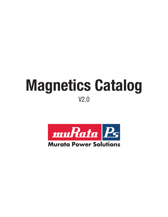# **Magnetics Catalog** V2.0



### **Murata Power Solutions**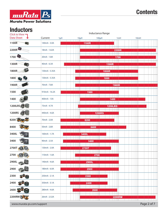# muRata Ps **Murata Power Solutions**

# **Inductors**

| Click to View -   | Inductance Range    |                                                                                                                                                                   |                                  |  |  |
|-------------------|---------------------|-------------------------------------------------------------------------------------------------------------------------------------------------------------------|----------------------------------|--|--|
| <b>Data Sheet</b> | Current<br>$1\mu$ H | $10\mu$ H<br>$100\mu$ H                                                                                                                                           | 10mH<br>1 <sub>mH</sub>          |  |  |
| 1100R             | 140mA - 3.0A        | <b>1100R</b>                                                                                                                                                      |                                  |  |  |
| 2200R             | 18mA - 1.62A        |                                                                                                                                                                   | 2200R                            |  |  |
| 1700              | 20mA - 1.8A         |                                                                                                                                                                   | 1700                             |  |  |
| 1300R             | 40mA - 6.3A         | <b>1300R</b>                                                                                                                                                      |                                  |  |  |
|                   |                     |                                                                                                                                                                   |                                  |  |  |
| 1800R             | 130mA - 5.35A       | <b>1800R</b>                                                                                                                                                      |                                  |  |  |
| 1800              | 130mA - 5.35A       | 1800                                                                                                                                                              |                                  |  |  |
| 1900R             | 70mA - 7.8A         | <b>1900R</b>                                                                                                                                                      |                                  |  |  |
| 1500              | 910mA - 16.2A       | 1500                                                                                                                                                              |                                  |  |  |
| 1400              | 400mA - 13A         | 1400                                                                                                                                                              | <b>STATE</b>                     |  |  |
| <b>1200LRS</b>    | 73mA - 4.7A         | <b>1200LRS</b>                                                                                                                                                    |                                  |  |  |
| 1200RS            | 440mA - 4.6A        | <b>1200RS</b>                                                                                                                                                     |                                  |  |  |
| 8200              | 70mA - 2.0A         | 8200                                                                                                                                                              |                                  |  |  |
| 8400              | 50mA - 2.8A         | 8400                                                                                                                                                              |                                  |  |  |
| 3400L             | 160mA - 1.7A        | 3400L                                                                                                                                                             |                                  |  |  |
| 3400              | 90mA - 2.5A         | 3400                                                                                                                                                              |                                  |  |  |
| 2700T             | 130mA - 2.0A        | 27001                                                                                                                                                             |                                  |  |  |
| 2700 8            | $110mA - 1.6A$      | 2700                                                                                                                                                              |                                  |  |  |
| 2900L             | 140mA - 4.6A        | The Co<br>a barat da san san Tanzania.<br>a shekarar 1999 na shekarar 1991 na shekarar 1991 na shekarar 1991 na shekarar 1991 na shekarar 1991 na shekar<br>2900L |                                  |  |  |
| 2900              | 180mA - 6.0A        | 2900                                                                                                                                                              |                                  |  |  |
| 2300              | 250mA - 2.1A        | <b>Contract</b><br>2300                                                                                                                                           |                                  |  |  |
| 2400              | 350mA - 3.1A        | 2400                                                                                                                                                              |                                  |  |  |
|                   |                     | <b>Contract</b><br><u>ta kasa</u>                                                                                                                                 |                                  |  |  |
| 2600              | 280mA - 4.6A        | 2600<br><b>Contract Contract</b>                                                                                                                                  |                                  |  |  |
| 2200RM            | 26mA - 2.52A        | <b>Contract Contract</b><br><b>Contract Contract</b>                                                                                                              | <b>2200RM</b><br><b>Contract</b> |  |  |

www.murata-ps.com/support example of  $\overline{P}$  and  $\overline{P}$  and  $\overline{P}$  and  $\overline{P}$  and  $\overline{P}$  and  $\overline{P}$  and  $\overline{P}$  and  $\overline{P}$  and  $\overline{P}$  and  $\overline{P}$  and  $\overline{P}$  and  $\overline{P}$  and  $\overline{P}$  and  $\overline{P}$  and  $\over$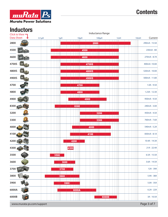

#### muRata Ps **Murata Power Solutions**

# **Inductors**

| имм<br>w.v<br>Click to View $\blacksquare$ | Inductance Range |                    |                                                                                                                               |                                          |     |                 |
|--------------------------------------------|------------------|--------------------|-------------------------------------------------------------------------------------------------------------------------------|------------------------------------------|-----|-----------------|
| <b>Data Sheet</b>                          | $0.1\mu$ H       | $1\mu$ H           | $10\mu$ H                                                                                                                     | $100\mu$ H                               | 1mH | Current<br>10mH |
| 2800                                       |                  |                    |                                                                                                                               | 2800                                     |     | 290mA - 15.5A   |
| 4500<br>1020                               |                  |                    | 4500                                                                                                                          |                                          |     | 230mA - 8A      |
| 4600                                       |                  |                    | 4600                                                                                                                          |                                          |     | 270mA - 8.7A    |
| 4700S                                      |                  |                    |                                                                                                                               | <b>4700S</b>                             |     | 400mA-10.0A     |
| 4800S                                      |                  |                    | <b>Contract Contract</b>                                                                                                      | <b>Contract Contract</b><br><b>4800S</b> |     | 520mA - 10.0A   |
| 4900S                                      |                  |                    |                                                                                                                               | <b>4900S</b>                             |     | 500mA - 11.8A   |
| 4700                                       |                  |                    | 4700                                                                                                                          |                                          |     | $1.0A - 9.5A$   |
| 4800                                       |                  |                    | 4800                                                                                                                          |                                          |     | 1.23A - 12.3A   |
| 4900                                       |                  |                    |                                                                                                                               | 4900                                     |     | 950mA - 9.5A    |
| 8300<br>AZV                                |                  | <b>The College</b> | 8300                                                                                                                          |                                          |     | 240mA - 3.0A    |
| 3200                                       |                  |                    |                                                                                                                               | 3200                                     |     | 450mA - 4.5A    |
| 3300                                       |                  |                    |                                                                                                                               | 3300                                     |     | 760mA - 7.6A    |
| 4000                                       |                  |                    |                                                                                                                               | 4000                                     |     | 540mA - 5.2A    |
| 4100                                       |                  |                    |                                                                                                                               | 4100                                     |     | 830mA - 8.1A    |
| 4200                                       |                  |                    | 4200                                                                                                                          |                                          |     | 10.4A - 14.3A   |
| 4300                                       |                  | 4300               |                                                                                                                               |                                          |     | $21A - 22.4A$   |
| 3500<br>P C                                |                  | 3500               |                                                                                                                               |                                          |     | $6.5A - 15.5A$  |
| 3600                                       |                  | 3600               |                                                                                                                               |                                          |     | $3.6A - 14.5A$  |
| 3700 3722C                                 |                  | 3700               |                                                                                                                               |                                          |     | 12A - 39A       |
| 3800                                       |                  | 3800               |                                                                                                                               |                                          |     | $5.9A - 38A$    |
| 3900                                       |                  | 3900<br>T T        |                                                                                                                               |                                          |     | $5.0A - 35A$    |
| 6000A                                      |                  | L LL               | 6000A<br><u> Tarihin ya Tanzania ya Tanzania ya Tanzania ya Tanzania ya Tanzania ya Tanzania ya Tanzania ya Tanzania ya T</u> |                                          |     | $6.2A - 22A$    |
| 6000B                                      |                  |                    |                                                                                                                               | <b>Contract</b><br>6000B                 |     | 3A - 10.5A      |
|                                            |                  |                    |                                                                                                                               | نناءها                                   |     |                 |

www.murata-ps.com/support example of the control of the control of the control of the Page 3 of 7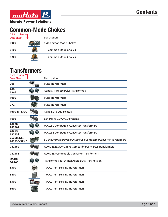

# **Common-Mode Chokes**

| Click to View $\blacksquare$<br><b>Data Sheet</b> | Description           |
|---------------------------------------------------|-----------------------|
| 5000                                              | SM Common Mode Chokes |
| 5100                                              | TH Common Mode Chokes |
| 5200                                              | TH Common Mode Chokes |

#### **Transformers**

| Click to View<br><b>Data Sheet</b> | Description                                                      |
|------------------------------------|------------------------------------------------------------------|
| 766                                | <b>Pulse Transformers</b>                                        |
| 786<br>786J                        | <b>General Purpose Pulse Transformers</b>                        |
| 1000                               | <b>Pulse Transformers</b>                                        |
| 772                                | <b>Pulse Transformers</b>                                        |
| 1600 & 1630C                       | <b>Quad Data-bus Isolators</b>                                   |
| 1605                               | Lan-Pak fo CSMA/CD Systems                                       |
| 78250<br>78250J                    | MAX250 Compatible Converter Transformers                         |
| 78253<br>78253J                    | MAX253 Compatible Converter Transformers                         |
| 76250ENC,<br>76253/XXENC           | BS EN60950 Approved MAX250/253 Compatible Converter Transformers |
| 782482                             | ADM2482E/ADM2487E Compatible Converter Transformers              |
| 782485                             | ADM2485 Compatible Converter Transformers                        |
| <b>DA100</b><br><b>DA100J</b>      | Transformers for Digital Audio Data Transmission                 |
| 5300                               | <b>10A Current Sensing Transformers</b>                          |
| 5400                               | <b>15A Current Sensing Transformers</b>                          |
| 5500                               | <b>15A Current Sensing Transformers</b>                          |
| 5600                               | <b>10A Current Sensing Transformers</b>                          |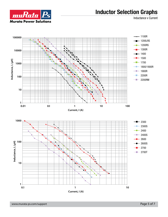### **Inductor Selection Graphs**

Inductance v Current



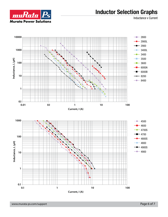#### **Inductor Selection Graphs**

Inductance v Current